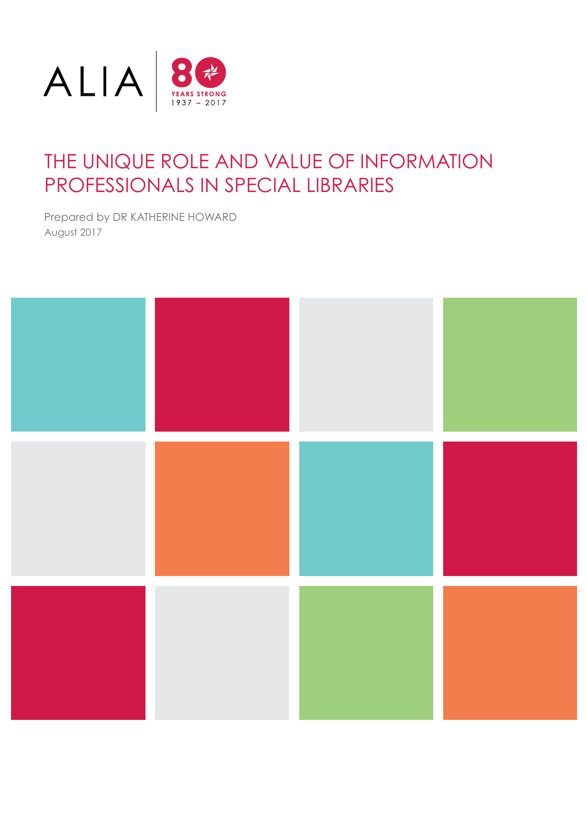

# THE UNIQUE ROLE AND VALUE OF INFORMATION PROFESSIONALS IN SPECIAL LIBRARIES

Prepared by DR KATHERINE HOWARD August 2017

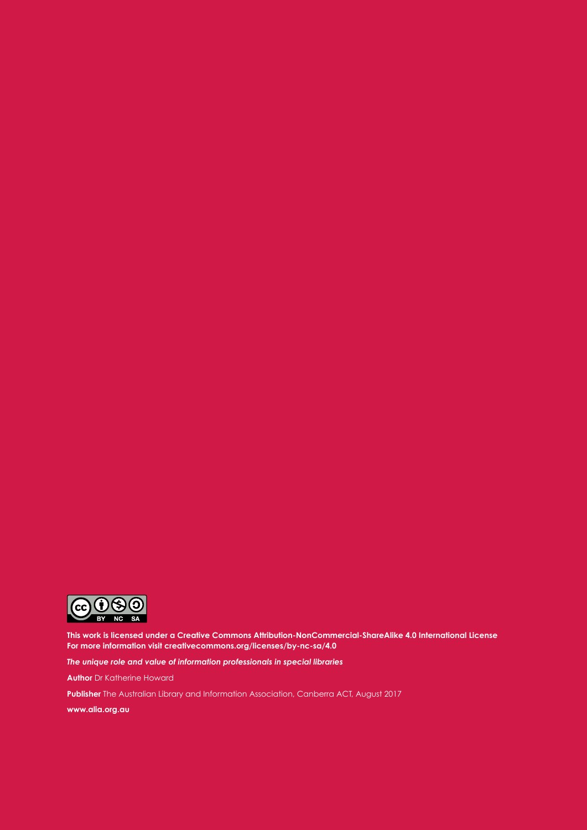

**This work is licensed under a Creative Commons Attribution-NonCommercial-ShareAlike 4.0 International License For more information visit [creativecommons.org/licenses/by-nc-sa/4.0](http://creativecommons.org/licenses/by-nc-sa/4.0)**

*The unique role and value of information professionals in special libraries*

**Author** Dr Katherine Howard

**Publisher** The Australian Library and Information Association, Canberra ACT, August 2017

**[www.alia.org.au](http://www.alia.org.au)**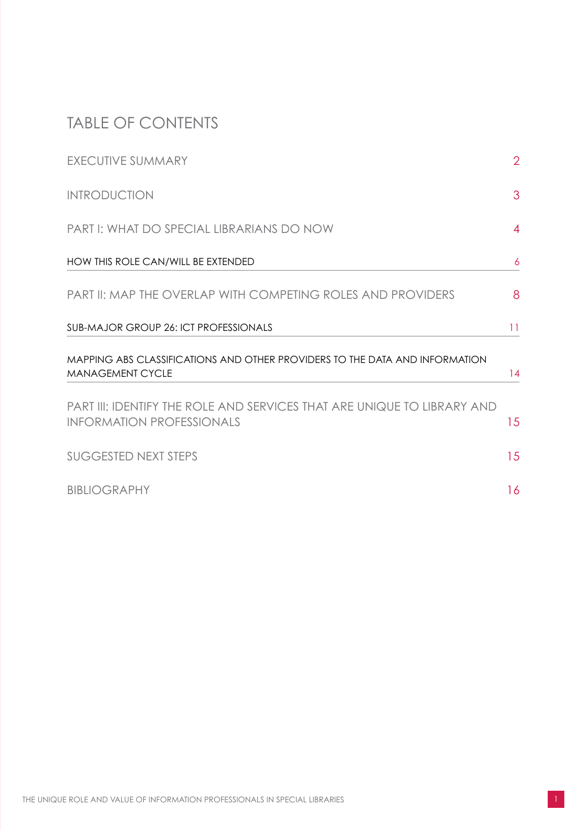## TABLE OF CONTENTS

| EXECUTIVE SUMMARY                                                                                           | $\overline{2}$ |
|-------------------------------------------------------------------------------------------------------------|----------------|
| <b>INTRODUCTION</b>                                                                                         | 3              |
| PART I: WHAT DO SPECIAL LIBRARIANS DO NOW                                                                   | $\overline{4}$ |
| HOW THIS ROLE CAN/WILL BE EXTENDED                                                                          | 6              |
| <b>PART II: MAP THE OVERLAP WITH COMPETING ROLES AND PROVIDERS</b>                                          | 8              |
| <b>SUB-MAJOR GROUP 26: ICT PROFESSIONALS</b>                                                                | 11             |
| MAPPING ABS CLASSIFICATIONS AND OTHER PROVIDERS TO THE DATA AND INFORMATION<br><b>MANAGEMENT CYCLE</b>      | 14             |
| PART III: IDENTIFY THE ROLE AND SERVICES THAT ARE UNIQUE TO LIBRARY AND<br><b>INFORMATION PROFESSIONALS</b> | 15             |
| <b>SUGGESTED NEXT STEPS</b>                                                                                 | 15             |
| <b>BIBLIOGRAPHY</b>                                                                                         | 16             |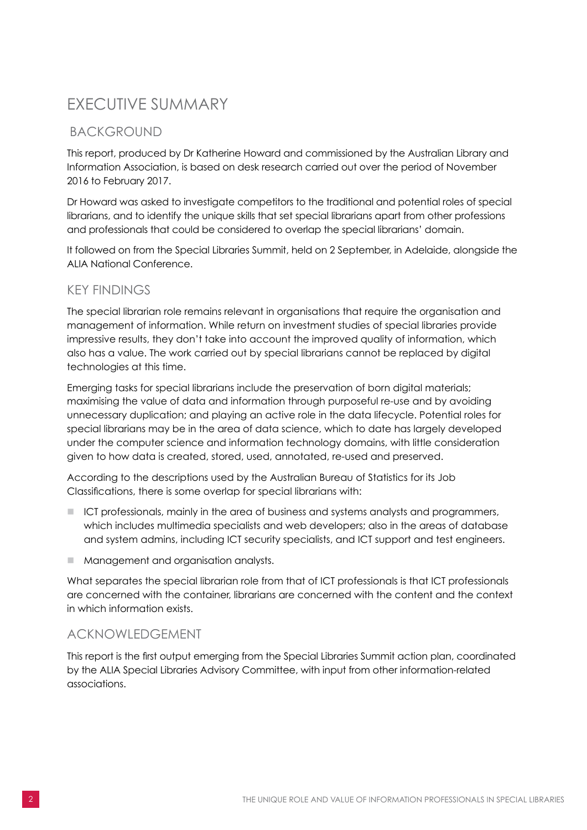## <span id="page-3-0"></span>EXECUTIVE SUMMARY

### BACKGROUND

This report, produced by Dr Katherine Howard and commissioned by the Australian Library and Information Association, is based on desk research carried out over the period of November 2016 to February 2017.

Dr Howard was asked to investigate competitors to the traditional and potential roles of special librarians, and to identify the unique skills that set special librarians apart from other professions and professionals that could be considered to overlap the special librarians' domain.

It followed on from the Special Libraries Summit, held on 2 September, in Adelaide, alongside the ALIA National Conference.

### KEY FINDINGS

The special librarian role remains relevant in organisations that require the organisation and management of information. While return on investment studies of special libraries provide impressive results, they don't take into account the improved quality of information, which also has a value. The work carried out by special librarians cannot be replaced by digital technologies at this time.

Emerging tasks for special librarians include the preservation of born digital materials; maximising the value of data and information through purposeful re-use and by avoiding unnecessary duplication; and playing an active role in the data lifecycle. Potential roles for special librarians may be in the area of data science, which to date has largely developed under the computer science and information technology domains, with little consideration given to how data is created, stored, used, annotated, re-used and preserved.

According to the descriptions used by the Australian Bureau of Statistics for its Job Classifications, there is some overlap for special librarians with:

- **n** ICT professionals, mainly in the area of business and systems analysts and programmers, which includes multimedia specialists and web developers; also in the areas of database and system admins, including ICT security specialists, and ICT support and test engineers.
- **n** Management and organisation analysts.

What separates the special librarian role from that of ICT professionals is that ICT professionals are concerned with the container, librarians are concerned with the content and the context in which information exists.

### ACKNOWLEDGEMENT

This report is the first output emerging from the Special Libraries Summit action plan, coordinated by the ALIA Special Libraries Advisory Committee, with input from other information-related associations.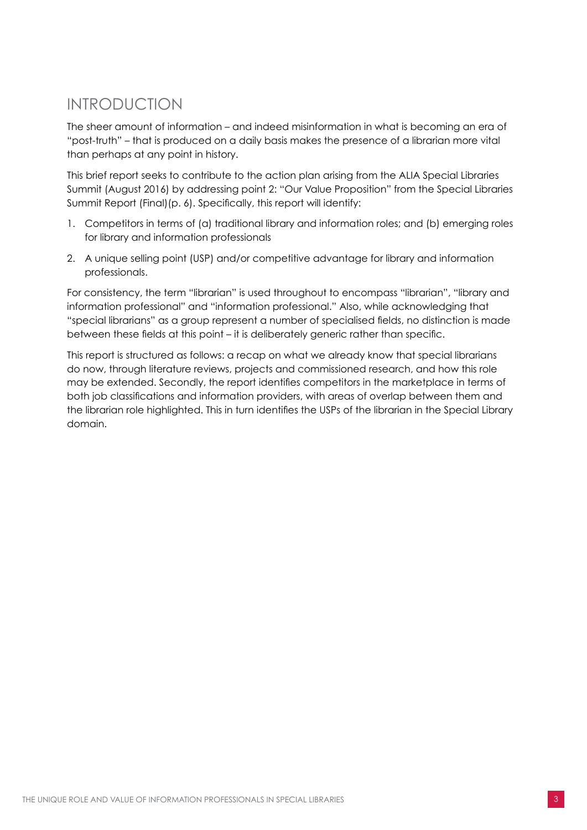## <span id="page-4-0"></span>INTRODUCTION

The sheer amount of information – and indeed misinformation in what is becoming an era of "post-truth" – that is produced on a daily basis makes the presence of a librarian more vital than perhaps at any point in history.

This brief report seeks to contribute to the action plan arising from the ALIA Special Libraries Summit (August 2016) by addressing point 2: "Our Value Proposition" from the Special Libraries Summit Report (Final)(p. 6). Specifically, this report will identify:

- 1. Competitors in terms of (a) traditional library and information roles; and (b) emerging roles for library and information professionals
- 2. A unique selling point (USP) and/or competitive advantage for library and information professionals.

For consistency, the term "librarian" is used throughout to encompass "librarian", "library and information professional" and "information professional." Also, while acknowledging that "special librarians" as a group represent a number of specialised fields, no distinction is made between these fields at this point – it is deliberately generic rather than specific.

This report is structured as follows: a recap on what we already know that special librarians do now, through literature reviews, projects and commissioned research, and how this role may be extended. Secondly, the report identifies competitors in the marketplace in terms of both job classifications and information providers, with areas of overlap between them and the librarian role highlighted. This in turn identifies the USPs of the librarian in the Special Library domain.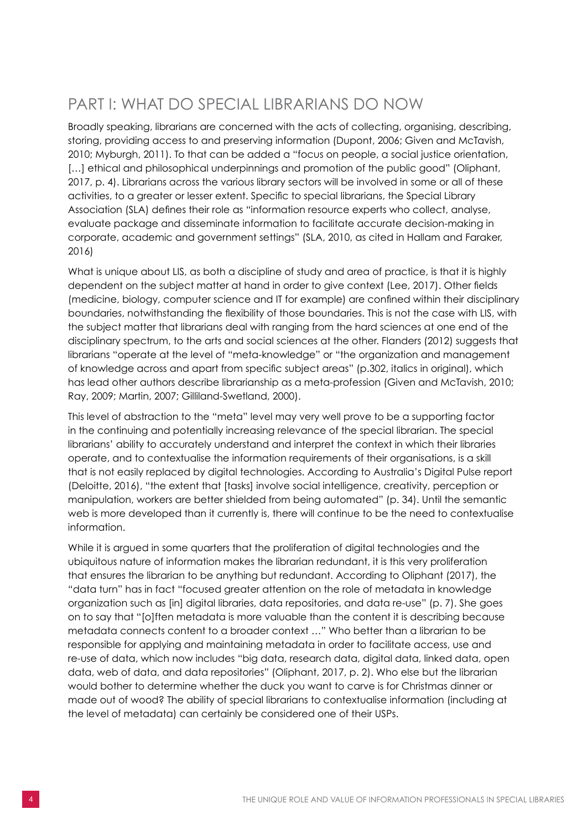## <span id="page-5-0"></span>PART I: WHAT DO SPECIAL LIBRARIANS DO NOW

Broadly speaking, librarians are concerned with the acts of collecting, organising, describing, storing, providing access to and preserving information (Dupont, 2006; Given and McTavish, 2010; Myburgh, 2011). To that can be added a "focus on people, a social justice orientation, [...] ethical and philosophical underpinnings and promotion of the public good" (Oliphant, 2017, p. 4). Librarians across the various library sectors will be involved in some or all of these activities, to a greater or lesser extent. Specific to special librarians, the Special Library Association (SLA) defines their role as "information resource experts who collect, analyse, evaluate package and disseminate information to facilitate accurate decision-making in corporate, academic and government settings" (SLA, 2010, as cited in Hallam and Faraker, 2016)

What is unique about LIS, as both a discipline of study and area of practice, is that it is highly dependent on the subject matter at hand in order to give context (Lee, 2017). Other fields (medicine, biology, computer science and IT for example) are confined within their disciplinary boundaries, notwithstanding the flexibility of those boundaries. This is not the case with LIS, with the subject matter that librarians deal with ranging from the hard sciences at one end of the disciplinary spectrum, to the arts and social sciences at the other. Flanders (2012) suggests that librarians "operate at the level of "meta-knowledge" or "the organization and management of knowledge across and apart from specific subject areas" (p.302, italics in original), which has lead other authors describe librarianship as a meta-profession (Given and McTavish, 2010; Ray, 2009; Martin, 2007; Gilliland-Swetland, 2000).

This level of abstraction to the "meta" level may very well prove to be a supporting factor in the continuing and potentially increasing relevance of the special librarian. The special librarians' ability to accurately understand and interpret the context in which their libraries operate, and to contextualise the information requirements of their organisations, is a skill that is not easily replaced by digital technologies. According to Australia's Digital Pulse report (Deloitte, 2016), "the extent that [tasks] involve social intelligence, creativity, perception or manipulation, workers are better shielded from being automated" (p. 34). Until the semantic web is more developed than it currently is, there will continue to be the need to contextualise information.

While it is argued in some quarters that the proliferation of digital technologies and the ubiquitous nature of information makes the librarian redundant, it is this very proliferation that ensures the librarian to be anything but redundant. According to Oliphant (2017), the "data turn" has in fact "focused greater attention on the role of metadata in knowledge organization such as [in] digital libraries, data repositories, and data re-use" (p. 7). She goes on to say that "[o]ften metadata is more valuable than the content it is describing because metadata connects content to a broader context …" Who better than a librarian to be responsible for applying and maintaining metadata in order to facilitate access, use and re-use of data, which now includes "big data, research data, digital data, linked data, open data, web of data, and data repositories" (Oliphant, 2017, p. 2). Who else but the librarian would bother to determine whether the duck you want to carve is for Christmas dinner or made out of wood? The ability of special librarians to contextualise information (including at the level of metadata) can certainly be considered one of their USPs.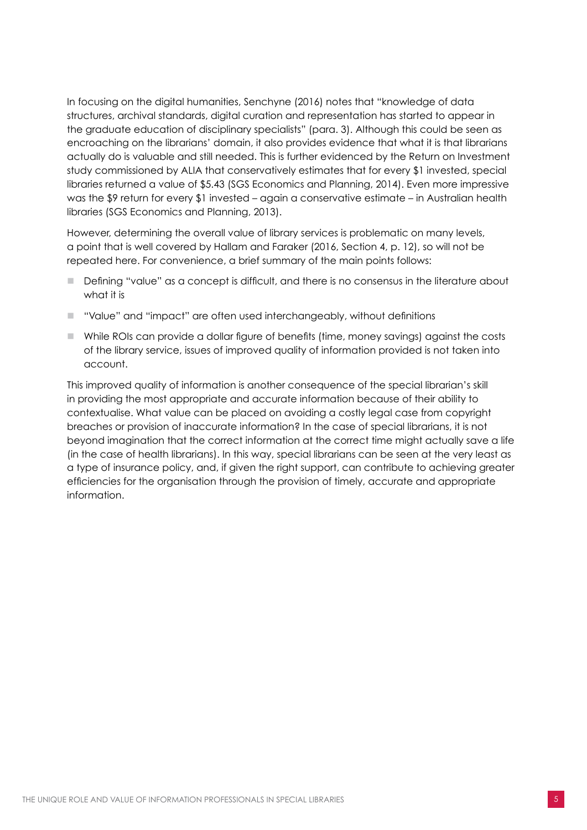In focusing on the digital humanities, Senchyne (2016) notes that "knowledge of data structures, archival standards, digital curation and representation has started to appear in the graduate education of disciplinary specialists" (para. 3). Although this could be seen as encroaching on the librarians' domain, it also provides evidence that what it is that librarians actually do is valuable and still needed. This is further evidenced by the Return on Investment study commissioned by ALIA that conservatively estimates that for every \$1 invested, special libraries returned a value of \$5.43 (SGS Economics and Planning, 2014). Even more impressive was the \$9 return for every \$1 invested – again a conservative estimate – in Australian health libraries (SGS Economics and Planning, 2013).

However, determining the overall value of library services is problematic on many levels, a point that is well covered by Hallam and Faraker (2016, Section 4, p. 12), so will not be repeated here. For convenience, a brief summary of the main points follows:

- n Defining "value" as a concept is difficult, and there is no consensus in the literature about what it is
- "Value" and "impact" are often used interchangeably, without definitions
- n While ROIs can provide a dollar figure of benefits (time, money savings) against the costs of the library service, issues of improved quality of information provided is not taken into account.

This improved quality of information is another consequence of the special librarian's skill in providing the most appropriate and accurate information because of their ability to contextualise. What value can be placed on avoiding a costly legal case from copyright breaches or provision of inaccurate information? In the case of special librarians, it is not beyond imagination that the correct information at the correct time might actually save a life (in the case of health librarians). In this way, special librarians can be seen at the very least as a type of insurance policy, and, if given the right support, can contribute to achieving greater efficiencies for the organisation through the provision of timely, accurate and appropriate information.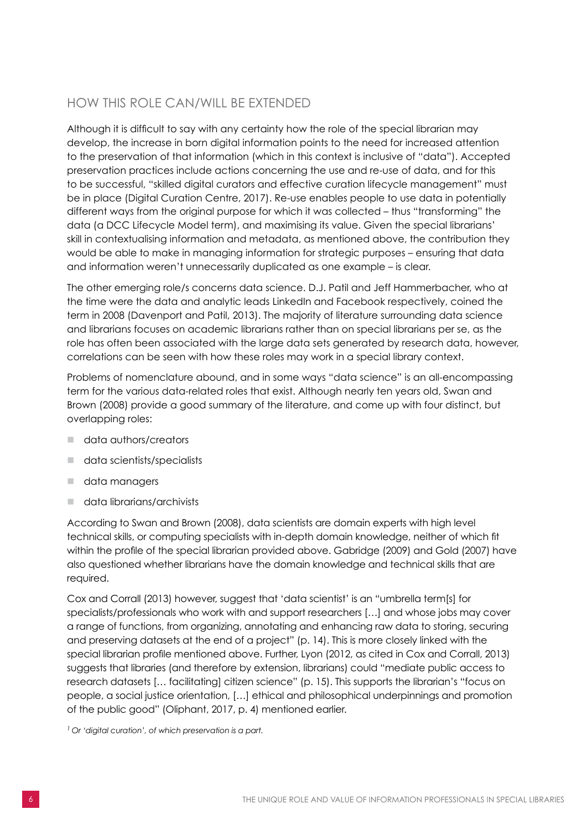### <span id="page-7-0"></span>HOW THIS ROLE CAN/WILL BE EXTENDED

Although it is difficult to say with any certainty how the role of the special librarian may develop, the increase in born digital information points to the need for increased attention to the preservation of that information (which in this context is inclusive of "data"). Accepted preservation practices include actions concerning the use and re-use of data, and for this to be successful, "skilled digital curators and effective curation lifecycle management" must be in place (Digital Curation Centre, 2017). Re-use enables people to use data in potentially different ways from the original purpose for which it was collected – thus "transforming" the data (a DCC Lifecycle Model term), and maximising its value. Given the special librarians' skill in contextualising information and metadata, as mentioned above, the contribution they would be able to make in managing information for strategic purposes – ensuring that data and information weren't unnecessarily duplicated as one example – is clear.

The other emerging role/s concerns data science. D.J. Patil and Jeff Hammerbacher, who at the time were the data and analytic leads LinkedIn and Facebook respectively, coined the term in 2008 (Davenport and Patil, 2013). The majority of literature surrounding data science and librarians focuses on academic librarians rather than on special librarians per se, as the role has often been associated with the large data sets generated by research data, however, correlations can be seen with how these roles may work in a special library context.

Problems of nomenclature abound, and in some ways "data science" is an all-encompassing term for the various data-related roles that exist. Although nearly ten years old, Swan and Brown (2008) provide a good summary of the literature, and come up with four distinct, but overlapping roles:

- data authors/creators
- $\blacksquare$  data scientists/specialists
- $\blacksquare$  data managers
- $\blacksquare$  data librarians/archivists

According to Swan and Brown (2008), data scientists are domain experts with high level technical skills, or computing specialists with in-depth domain knowledge, neither of which fit within the profile of the special librarian provided above. Gabridge (2009) and Gold (2007) have also questioned whether librarians have the domain knowledge and technical skills that are required.

Cox and Corrall (2013) however, suggest that 'data scientist' is an "umbrella term[s] for specialists/professionals who work with and support researchers […] and whose jobs may cover a range of functions, from organizing, annotating and enhancing raw data to storing, securing and preserving datasets at the end of a project" (p. 14). This is more closely linked with the special librarian profile mentioned above. Further, Lyon (2012, as cited in Cox and Corrall, 2013) suggests that libraries (and therefore by extension, librarians) could "mediate public access to research datasets [… facilitating] citizen science" (p. 15). This supports the librarian's "focus on people, a social justice orientation, […] ethical and philosophical underpinnings and promotion of the public good" (Oliphant, 2017, p. 4) mentioned earlier.

*1 Or 'digital curation', of which preservation is a part.*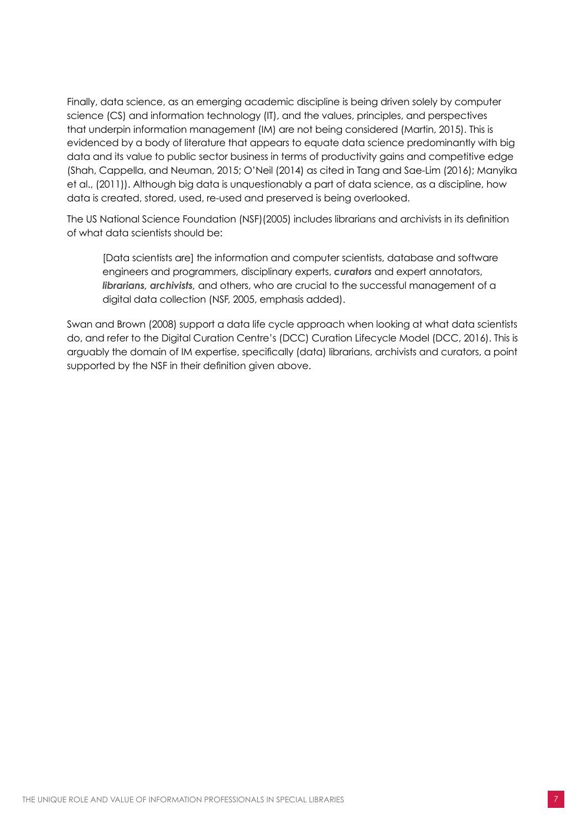<span id="page-8-0"></span>Finally, data science, as an emerging academic discipline is being driven solely by computer science (CS) and information technology (IT), and the values, principles, and perspectives that underpin information management (IM) are not being considered (Martin, 2015). This is evidenced by a body of literature that appears to equate data science predominantly with big data and its value to public sector business in terms of productivity gains and competitive edge (Shah, Cappella, and Neuman, 2015; O'Neil (2014) as cited in Tang and Sae-Lim (2016); Manyika et al., (2011)). Although big data is unquestionably a part of data science, as a discipline, how data is created, stored, used, re-used and preserved is being overlooked.

The US National Science Foundation (NSF)(2005) includes librarians and archivists in its definition of what data scientists should be:

[Data scientists are] the information and computer scientists, database and software engineers and programmers, disciplinary experts, *curators* and expert annotators, *librarians, archivists,* and others, who are crucial to the successful management of a digital data collection (NSF, 2005, emphasis added).

Swan and Brown (2008) support a data life cycle approach when looking at what data scientists do, and refer to the Digital Curation Centre's (DCC) Curation Lifecycle Model (DCC, 2016). This is arguably the domain of IM expertise, specifically (data) librarians, archivists and curators, a point supported by the NSF in their definition given above.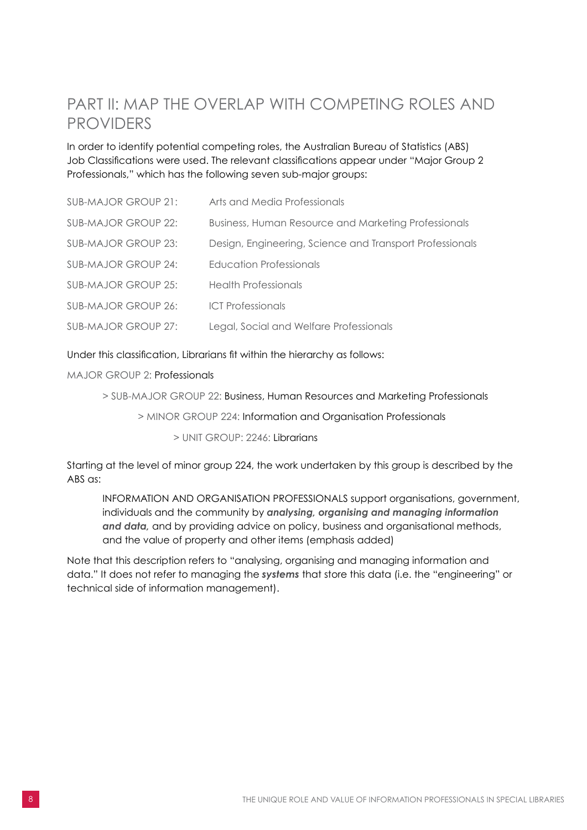## <span id="page-9-0"></span>PART II: MAP THE OVERLAP WITH COMPETING ROLES AND PROVIDERS

In order to identify potential competing roles, the Australian Bureau of Statistics (ABS) Job Classifications were used. The relevant classifications appear under "Major Group 2 Professionals," which has the following seven sub-major groups:

| SUB-MAJOR GROUP 21:        | Arts and Media Professionals                             |
|----------------------------|----------------------------------------------------------|
| SUB-MAJOR GROUP 22:        | Business, Human Resource and Marketing Professionals     |
| <b>SUB-MAJOR GROUP 23:</b> | Design, Engineering, Science and Transport Professionals |
| SUB-MAJOR GROUP 24:        | Education Professionals                                  |
| SUB-MAJOR GROUP 25:        | <b>Health Professionals</b>                              |
| SUB-MAJOR GROUP 26:        | <b>ICT Professionals</b>                                 |
| SUB-MAJOR GROUP 27:        | Legal, Social and Welfare Professionals                  |

#### Under this classification, Librarians fit within the hierarchy as follows:

#### MAJOR GROUP 2: Professionals

> SUB-MAJOR GROUP 22: Business, Human Resources and Marketing Professionals

> MINOR GROUP 224: Information and Organisation Professionals

> UNIT GROUP: 2246: Librarians

Starting at the level of minor group 224, the work undertaken by this group is described by the ABS as:

INFORMATION AND ORGANISATION PROFESSIONALS support organisations, government, individuals and the community by *analysing, organising and managing information and data,* and by providing advice on policy, business and organisational methods, and the value of property and other items (emphasis added)

Note that this description refers to "analysing, organising and managing information and data." It does not refer to managing the *systems* that store this data (i.e. the "engineering" or technical side of information management).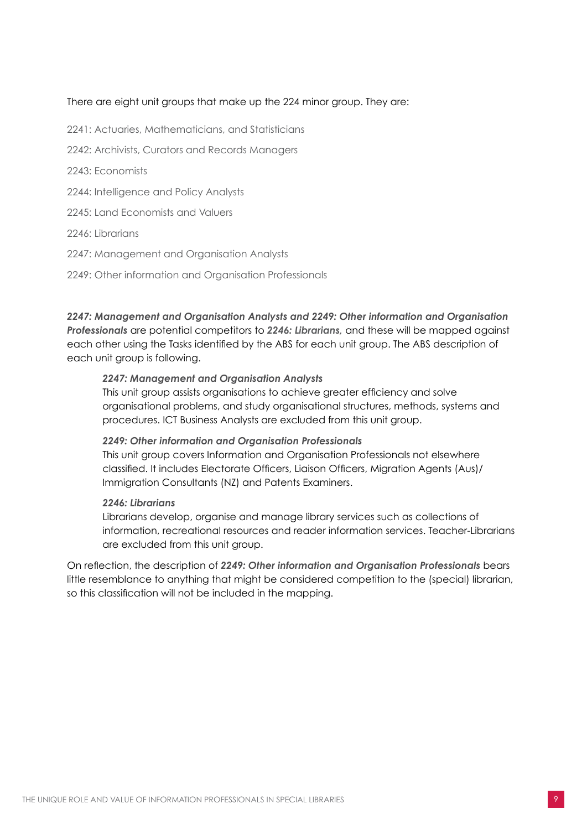#### There are eight unit groups that make up the 224 minor group. They are:

- 2241: Actuaries, Mathematicians, and Statisticians
- 2242: Archivists, Curators and Records Managers
- 2243: Economists
- 2244: Intelligence and Policy Analysts
- 2245: Land Economists and Valuers
- 2246: Librarians
- 2247: Management and Organisation Analysts
- 2249: Other information and Organisation Professionals

*2247: Management and Organisation Analysts and 2249: Other information and Organisation Professionals* are potential competitors to *2246: Librarians,* and these will be mapped against each other using the Tasks identified by the ABS for each unit group. The ABS description of each unit group is following.

#### *2247: Management and Organisation Analysts*

This unit group assists organisations to achieve greater efficiency and solve organisational problems, and study organisational structures, methods, systems and procedures. ICT Business Analysts are excluded from this unit group.

#### *2249: Other information and Organisation Professionals*

This unit group covers Information and Organisation Professionals not elsewhere classified. It includes Electorate Officers, Liaison Officers, Migration Agents (Aus)/ Immigration Consultants (NZ) and Patents Examiners.

#### *2246: Librarians*

Librarians develop, organise and manage library services such as collections of information, recreational resources and reader information services. Teacher-Librarians are excluded from this unit group.

On reflection, the description of *2249: Other information and Organisation Professionals* bears little resemblance to anything that might be considered competition to the (special) librarian, so this classification will not be included in the mapping.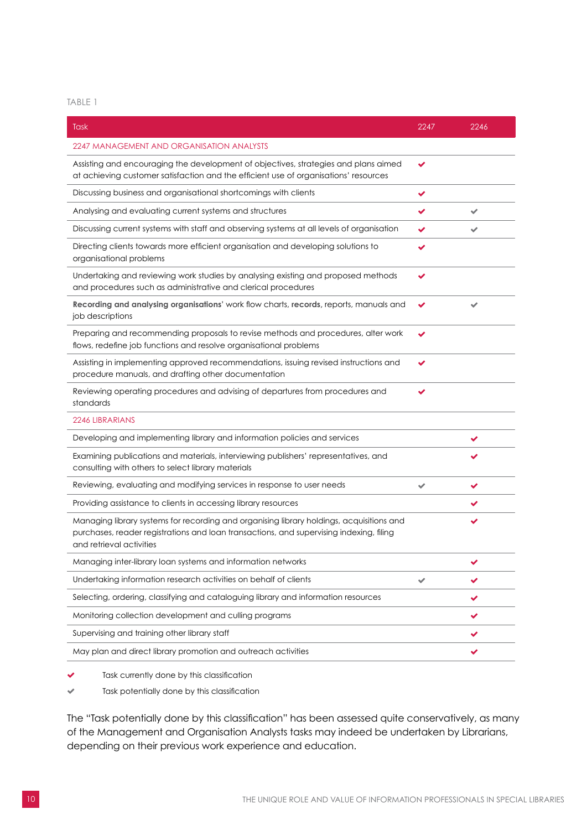#### TABLE 1

| Task                                                                                                                                                                                                            | 2247 | 2246 |
|-----------------------------------------------------------------------------------------------------------------------------------------------------------------------------------------------------------------|------|------|
| 2247 MANAGEMENT AND ORGANISATION ANALYSTS                                                                                                                                                                       |      |      |
| Assisting and encouraging the development of objectives, strategies and plans aimed<br>at achieving customer satisfaction and the efficient use of organisations' resources                                     | ✔    |      |
| Discussing business and organisational shortcomings with clients                                                                                                                                                | ✔    |      |
| Analysing and evaluating current systems and structures                                                                                                                                                         | ✔    | ✔    |
| Discussing current systems with staff and observing systems at all levels of organisation                                                                                                                       | ✔    |      |
| Directing clients towards more efficient organisation and developing solutions to<br>organisational problems                                                                                                    | ✔    |      |
| Undertaking and reviewing work studies by analysing existing and proposed methods<br>and procedures such as administrative and clerical procedures                                                              | ✔    |      |
| Recording and analysing organisations' work flow charts, records, reports, manuals and<br>job descriptions                                                                                                      | ✔    |      |
| Preparing and recommending proposals to revise methods and procedures, alter work<br>flows, redefine job functions and resolve organisational problems                                                          |      |      |
| Assisting in implementing approved recommendations, issuing revised instructions and<br>procedure manuals, and drafting other documentation                                                                     | ✔    |      |
| Reviewing operating procedures and advising of departures from procedures and<br>standards                                                                                                                      |      |      |
| 2246 LIBRARIANS                                                                                                                                                                                                 |      |      |
| Developing and implementing library and information policies and services                                                                                                                                       |      |      |
| Examining publications and materials, interviewing publishers' representatives, and<br>consulting with others to select library materials                                                                       |      |      |
| Reviewing, evaluating and modifying services in response to user needs                                                                                                                                          | ✓    |      |
| Providing assistance to clients in accessing library resources                                                                                                                                                  |      |      |
| Managing library systems for recording and organising library holdings, acquisitions and<br>purchases, reader registrations and loan transactions, and supervising indexing, filing<br>and retrieval activities |      |      |
| Managing inter-library loan systems and information networks                                                                                                                                                    |      |      |
| Undertaking information research activities on behalf of clients                                                                                                                                                | ✔    |      |
| Selecting, ordering, classifying and cataloguing library and information resources                                                                                                                              |      | ✔    |
| Monitoring collection development and culling programs                                                                                                                                                          |      | ✔    |
| Supervising and training other library staff                                                                                                                                                                    |      |      |
| May plan and direct library promotion and outreach activities                                                                                                                                                   |      |      |

**v** Task currently done by this classification

 $\checkmark$  Task potentially done by this classification

The "Task potentially done by this classification" has been assessed quite conservatively, as many of the Management and Organisation Analysts tasks may indeed be undertaken by Librarians, depending on their previous work experience and education.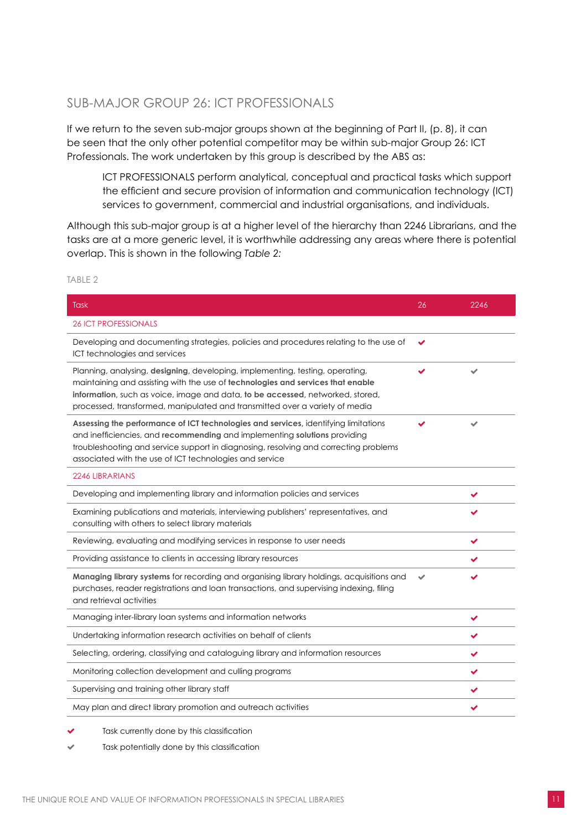### <span id="page-12-0"></span>SUB-MAJOR GROUP 26: ICT PROFESSIONALS

If we return to the seven sub-major groups shown at the beginning of Part II, (p. 8), it can be seen that the only other potential competitor may be within sub-major Group 26: ICT Professionals. The work undertaken by this group is described by the ABS as:

ICT PROFESSIONALS perform analytical, conceptual and practical tasks which support the efficient and secure provision of information and communication technology (ICT) services to government, commercial and industrial organisations, and individuals.

Although this sub-major group is at a higher level of the hierarchy than 2246 Librarians, and the tasks are at a more generic level, it is worthwhile addressing any areas where there is potential overlap. This is shown in the following *Table 2:*

TABLE 2

| Task                                                                                                                                                                                                                                                                                                                              | 26 | 2246 |
|-----------------------------------------------------------------------------------------------------------------------------------------------------------------------------------------------------------------------------------------------------------------------------------------------------------------------------------|----|------|
| <b>26 ICT PROFESSIONALS</b>                                                                                                                                                                                                                                                                                                       |    |      |
| Developing and documenting strategies, policies and procedures relating to the use of<br>ICT technologies and services                                                                                                                                                                                                            | ✔  |      |
| Planning, analysing, designing, developing, implementing, testing, operating,<br>maintaining and assisting with the use of technologies and services that enable<br>information, such as voice, image and data, to be accessed, networked, stored,<br>processed, transformed, manipulated and transmitted over a variety of media |    |      |
| Assessing the performance of ICT technologies and services, identifying limitations<br>and inefficiencies, and recommending and implementing solutions providing<br>troubleshooting and service support in diagnosing, resolving and correcting problems<br>associated with the use of ICT technologies and service               |    |      |
| 2246 LIBRARIANS                                                                                                                                                                                                                                                                                                                   |    |      |
| Developing and implementing library and information policies and services                                                                                                                                                                                                                                                         |    |      |
| Examining publications and materials, interviewing publishers' representatives, and<br>consulting with others to select library materials                                                                                                                                                                                         |    |      |
| Reviewing, evaluating and modifying services in response to user needs                                                                                                                                                                                                                                                            |    | ✔    |
| Providing assistance to clients in accessing library resources                                                                                                                                                                                                                                                                    |    |      |
| Managing library systems for recording and organising library holdings, acquisitions and<br>purchases, reader registrations and loan transactions, and supervising indexing, filing<br>and retrieval activities                                                                                                                   |    |      |
| Managing inter-library loan systems and information networks                                                                                                                                                                                                                                                                      |    |      |
| Undertaking information research activities on behalf of clients                                                                                                                                                                                                                                                                  |    |      |
| Selecting, ordering, classifying and cataloguing library and information resources                                                                                                                                                                                                                                                |    |      |
| Monitoring collection development and culling programs                                                                                                                                                                                                                                                                            |    |      |
| Supervising and training other library staff                                                                                                                                                                                                                                                                                      |    |      |
| May plan and direct library promotion and outreach activities                                                                                                                                                                                                                                                                     |    |      |

Task currently done by this classification

Task potentially done by this classification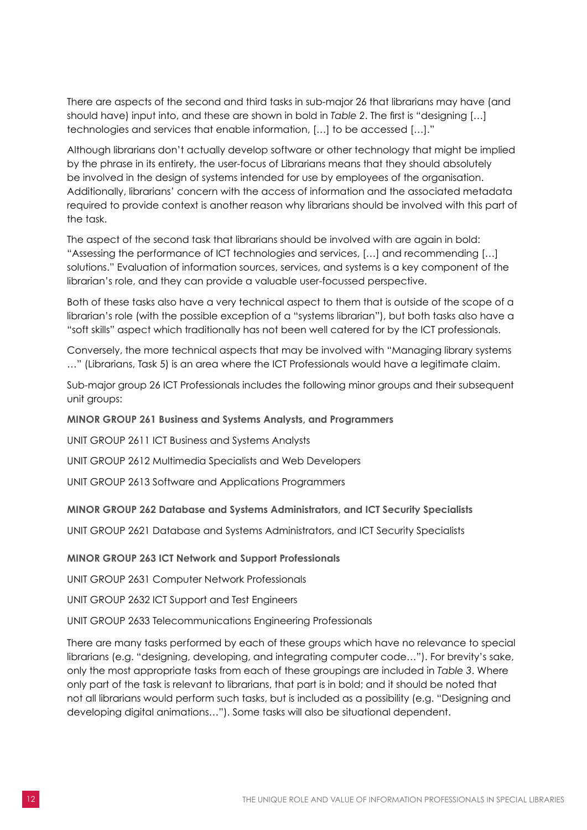There are aspects of the second and third tasks in sub-major 26 that librarians may have (and should have) input into, and these are shown in bold in *Table 2*. The first is "designing […] technologies and services that enable information, […] to be accessed […]."

Although librarians don't actually develop software or other technology that might be implied by the phrase in its entirety, the user-focus of Librarians means that they should absolutely be involved in the design of systems intended for use by employees of the organisation. Additionally, librarians' concern with the access of information and the associated metadata required to provide context is another reason why librarians should be involved with this part of the task.

The aspect of the second task that librarians should be involved with are again in bold: "Assessing the performance of ICT technologies and services, […] and recommending […] solutions." Evaluation of information sources, services, and systems is a key component of the librarian's role, and they can provide a valuable user-focussed perspective.

Both of these tasks also have a very technical aspect to them that is outside of the scope of a librarian's role (with the possible exception of a "systems librarian"), but both tasks also have a "soft skills" aspect which traditionally has not been well catered for by the ICT professionals.

Conversely, the more technical aspects that may be involved with "Managing library systems …" (Librarians, Task 5) is an area where the ICT Professionals would have a legitimate claim.

Sub-major group 26 ICT Professionals includes the following minor groups and their subsequent unit groups:

#### **MINOR GROUP 261 Business and Systems Analysts, and Programmers**

UNIT GROUP 2611 ICT Business and Systems Analysts

UNIT GROUP 2612 Multimedia Specialists and Web Developers

UNIT GROUP 2613 Software and Applications Programmers

#### **MINOR GROUP 262 Database and Systems Administrators, and ICT Security Specialists**

UNIT GROUP 2621 Database and Systems Administrators, and ICT Security Specialists

#### **MINOR GROUP 263 ICT Network and Support Professionals**

UNIT GROUP 2631 Computer Network Professionals

UNIT GROUP 2632 ICT Support and Test Engineers

UNIT GROUP 2633 Telecommunications Engineering Professionals

There are many tasks performed by each of these groups which have no relevance to special librarians (e.g. "designing, developing, and integrating computer code…"). For brevity's sake, only the most appropriate tasks from each of these groupings are included in *Table 3*. Where only part of the task is relevant to librarians, that part is in bold; and it should be noted that not all librarians would perform such tasks, but is included as a possibility (e.g. "Designing and developing digital animations…"). Some tasks will also be situational dependent.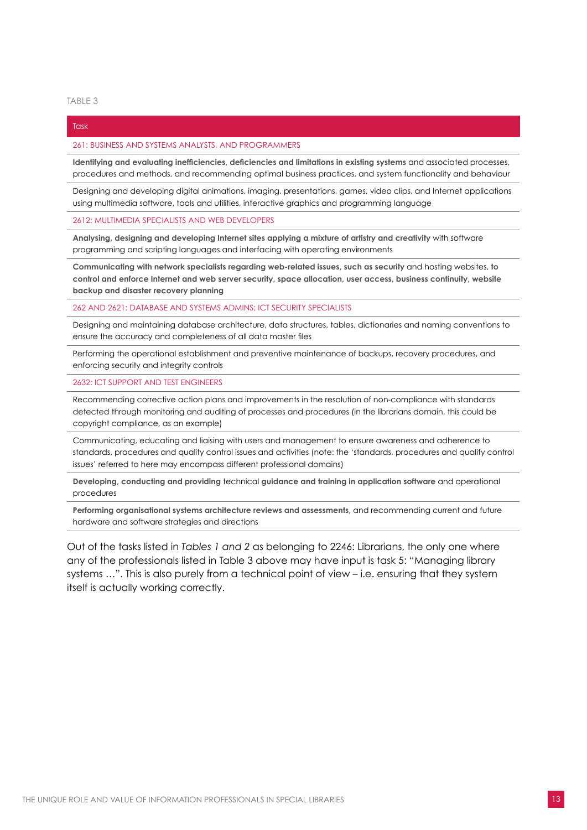#### Task

#### 261: BUSINESS AND SYSTEMS ANALYSTS, AND PROGRAMMERS

**Identifying and evaluating inefficiencies, deficiencies and limitations in existing systems** and associated processes, procedures and methods, and recommending optimal business practices, and system functionality and behaviour

Designing and developing digital animations, imaging, presentations, games, video clips, and Internet applications using multimedia software, tools and utilities, interactive graphics and programming language

2612: MULTIMEDIA SPECIALISTS AND WEB DEVELOPERS

**Analysing, designing and developing Internet sites applying a mixture of artistry and creativity** with software programming and scripting languages and interfacing with operating environments

**Communicating with network specialists regarding web-related issues, such as security** and hosting websites, **to control and enforce Internet and web server security, space allocation, user access, business continuity, website backup and disaster recovery planning**

262 AND 2621: DATABASE AND SYSTEMS ADMINS; ICT SECURITY SPECIALISTS

Designing and maintaining database architecture, data structures, tables, dictionaries and naming conventions to ensure the accuracy and completeness of all data master files

Performing the operational establishment and preventive maintenance of backups, recovery procedures, and enforcing security and integrity controls

2632: ICT SUPPORT AND TEST ENGINEERS

Recommending corrective action plans and improvements in the resolution of non-compliance with standards detected through monitoring and auditing of processes and procedures (in the librarians domain, this could be copyright compliance, as an example)

Communicating, educating and liaising with users and management to ensure awareness and adherence to standards, procedures and quality control issues and activities (note: the 'standards, procedures and quality control issues' referred to here may encompass different professional domains)

**Developing, conducting and providing** technical **guidance and training in application software** and operational procedures

**Performing organisational systems architecture reviews and assessments,** and recommending current and future hardware and software strategies and directions

Out of the tasks listed in *Tables 1 and 2* as belonging to 2246: Librarians, the only one where any of the professionals listed in Table 3 above may have input is task 5: "Managing library systems …". This is also purely from a technical point of view – i.e. ensuring that they system itself is actually working correctly.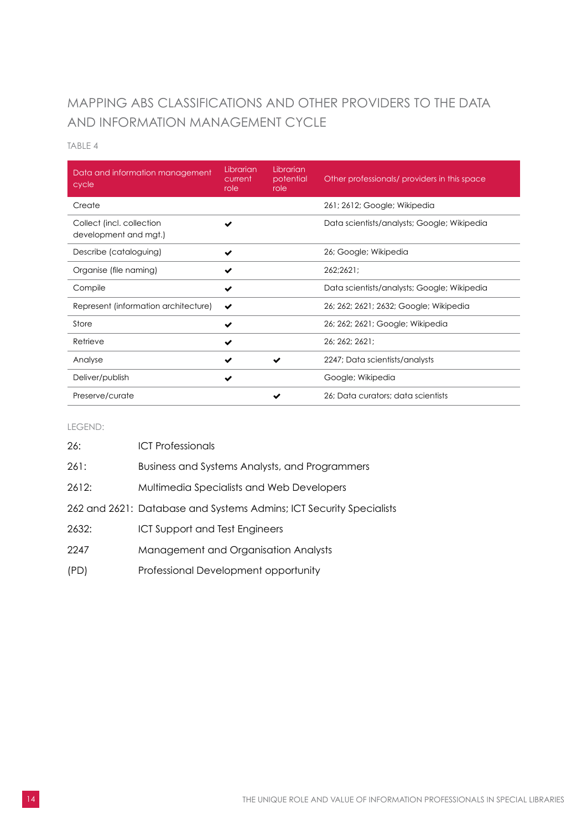### <span id="page-15-0"></span>MAPPING ABS CLASSIFICATIONS AND OTHER PROVIDERS TO THE DATA AND INFORMATION MANAGEMENT CYCLE

TABLE 4

| Data and information management<br>cycle           | Librarian<br>current<br>role | Librarian<br>potential<br>role | Other professionals/ providers in this space |
|----------------------------------------------------|------------------------------|--------------------------------|----------------------------------------------|
| Create                                             |                              |                                | 261; 2612; Google; Wikipedia                 |
| Collect (incl. collection<br>development and mgt.) | ✔                            |                                | Data scientists/analysts; Google; Wikipedia  |
| Describe (cataloguing)                             | ✔                            |                                | 26; Google; Wikipedia                        |
| Organise (file naming)                             | ✔                            |                                | 262;2621;                                    |
| Compile                                            | $\checkmark$                 |                                | Data scientists/analysts; Google; Wikipedia  |
| Represent (information architecture)               | ✔                            |                                | 26; 262; 2621; 2632; Google; Wikipedia       |
| Store                                              | ✔                            |                                | 26; 262; 2621; Google; Wikipedia             |
| Retrieve                                           | ✔                            |                                | 26; 262; 2621;                               |
| Analyse                                            | ✔                            |                                | 2247; Data scientists/analysts               |
| Deliver/publish                                    | ✔                            |                                | Google; Wikipedia                            |
| Preserve/curate                                    |                              |                                | 26; Data curators; data scientists           |

LEGEND:

| 26:   | <b>ICT Professionals</b>                                            |
|-------|---------------------------------------------------------------------|
| 261:  | Business and Systems Analysts, and Programmers                      |
| 2612: | Multimedia Specialists and Web Developers                           |
|       | 262 and 2621: Database and Systems Admins; ICT Security Specialists |
| 2632: | <b>ICT Support and Test Engineers</b>                               |
| 2247  | <b>Management and Organisation Analysts</b>                         |
| (PD)  | Professional Development opportunity                                |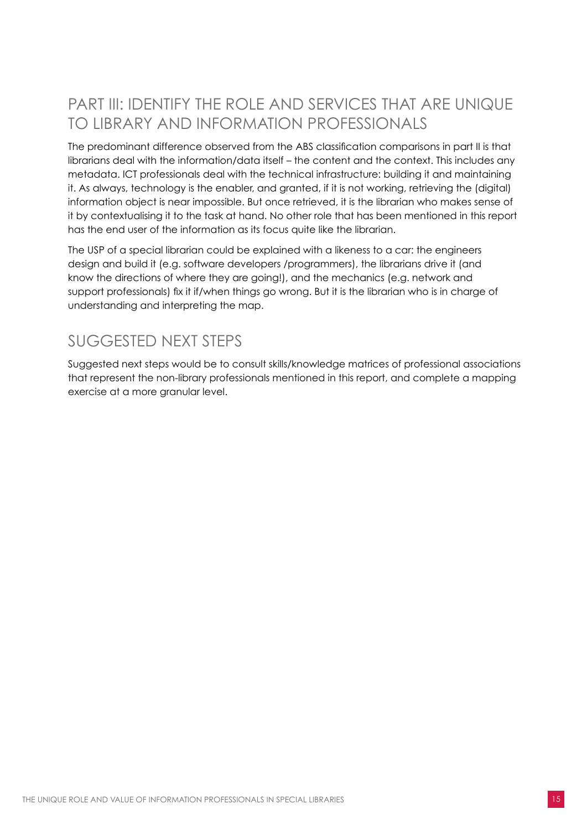## <span id="page-16-0"></span>PART III: IDENTIFY THE ROLE AND SERVICES THAT ARE UNIQUE TO LIBRARY AND INFORMATION PROFESSIONALS

The predominant difference observed from the ABS classification comparisons in part II is that librarians deal with the information/data itself – the content and the context. This includes any metadata. ICT professionals deal with the technical infrastructure: building it and maintaining it. As always, technology is the enabler, and granted, if it is not working, retrieving the (digital) information object is near impossible. But once retrieved, it is the librarian who makes sense of it by contextualising it to the task at hand. No other role that has been mentioned in this report has the end user of the information as its focus quite like the librarian.

The USP of a special librarian could be explained with a likeness to a car: the engineers design and build it (e.g. software developers /programmers), the librarians drive it (and know the directions of where they are going!), and the mechanics (e.g. network and support professionals) fix it if/when things go wrong. But it is the librarian who is in charge of understanding and interpreting the map.

## SUGGESTED NEXT STEPS

Suggested next steps would be to consult skills/knowledge matrices of professional associations that represent the non-library professionals mentioned in this report, and complete a mapping exercise at a more granular level.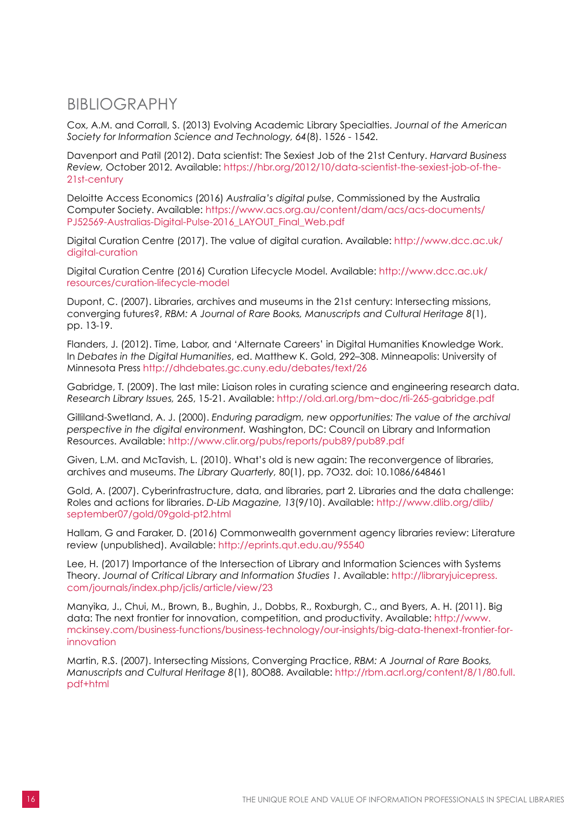### <span id="page-17-0"></span>BIBLIOGRAPHY

Cox, A.M. and Corrall, S. (2013) Evolving Academic Library Specialties. *Journal of the American Society for Information Science and Technology, 64*(8). 1526 - 1542.

Davenport and Patil (2012). Data scientist: The Sexiest Job of the 21st Century. *Harvard Business Review,* October 2012. Available: [https://hbr.org/2012/10/data-scientist-the-sexiest-job-of-the-](https://hbr.org/2012/10/data-scientist-the-sexiest-job-of-the-21st-century  )[21st-century](https://hbr.org/2012/10/data-scientist-the-sexiest-job-of-the-21st-century  ) 

Deloitte Access Economics (2016) *Australia's digital pulse*, Commissioned by the Australia Computer Society. Available: [https://www.acs.org.au/content/dam/acs/acs-documents/](https://www.acs.org.au/content/dam/acs/acs-documents/PJ52569-Australias-Digital-Pulse-2016_LAYOUT_Fi) [PJ52569-Australias-Digital-Pulse-2016\\_LAYOUT\\_Final\\_Web.pdf](https://www.acs.org.au/content/dam/acs/acs-documents/PJ52569-Australias-Digital-Pulse-2016_LAYOUT_Fi) 

Digital Curation Centre (2017). The value of digital curation. Available: [http://www.dcc.ac.uk/](http://www.dcc.ac.uk/digital-curation ) [digital-curation](http://www.dcc.ac.uk/digital-curation )

Digital Curation Centre (2016) Curation Lifecycle Model. Available: [http://www.dcc.ac.uk/](http://www.dcc.ac.uk/resources/curation-lifecycle-model  ) [resources/curation-lifecycle-model](http://www.dcc.ac.uk/resources/curation-lifecycle-model  ) 

Dupont, C. (2007). Libraries, archives and museums in the 21st century: Intersecting missions, converging futures?, *RBM: A Journal of Rare Books, Manuscripts and Cultural Heritage 8*(1), pp. 13-19.

Flanders, J. (2012). Time, Labor, and 'Alternate Careers' in Digital Humanities Knowledge Work. In *Debates in the Digital Humanities*, ed. Matthew K. Gold, 292–308. Minneapolis: University of Minnesota Press<http://dhdebates.gc.cuny.edu/debates/text/26>

Gabridge, T. (2009). The last mile: Liaison roles in curating science and engineering research data. *Research Library Issues,* 265, 15-21. Available:<http://old.arl.org/bm~doc/rli-265-gabridge.pdf>

Gilliland-Swetland, A. J. (2000). *Enduring paradigm, new opportunities: The value of the archival perspective in the digital environment.* Washington, DC: Council on Library and Information Resources. Available:<http://www.clir.org/pubs/reports/pub89/pub89.pdf>

Given, L.M. and McTavish, L. (2010). What's old is new again: The reconvergence of libraries, archives and museums. *The Library Quarterly,* 80(1), pp. 7O32. doi: 10.1086/648461

Gold, A. (2007). Cyberinfrastructure, data, and libraries, part 2. Libraries and the data challenge: Roles and actions for libraries. *D-Lib Magazine, 13*(9/10). Available: [http://www.dlib.org/dlib/](http://www.dlib.org/dlib/september07/gold/09gold-pt2.html) [september07/gold/09gold-pt2.html](http://www.dlib.org/dlib/september07/gold/09gold-pt2.html)

Hallam, G and Faraker, D. (2016) Commonwealth government agency libraries review: Literature review (unpublished). Available: <http://eprints.qut.edu.au/95540>

Lee, H. (2017) Importance of the Intersection of Library and Information Sciences with Systems Theory. *Journal of Critical Library and Information Studies 1*. Available: [http://libraryjuicepress.](http://libraryjuicepress.com/journals/index.php/jclis/article/view/23) [com/journals/index.php/jclis/article/view/23](http://libraryjuicepress.com/journals/index.php/jclis/article/view/23) 

Manyika, J., Chui, M., Brown, B., Bughin, J., Dobbs, R., Roxburgh, C., and Byers, A. H. (2011). Big data: The next frontier for innovation, competition, and productivity. Available: [http://www.](http://www.mckinsey.com/business-functions/business-technology/our-insights/big-data-thenext-frontie) [mckinsey.com/business-functions/business-technology/our-insights/big-data-thenext-frontier-for](http://www.mckinsey.com/business-functions/business-technology/our-insights/big-data-thenext-frontie)[innovation](http://www.mckinsey.com/business-functions/business-technology/our-insights/big-data-thenext-frontie) 

Martin, R.S. (2007). Intersecting Missions, Converging Practice, *RBM: A Journal of Rare Books, Manuscripts and Cultural Heritage 8*(1), 80O88. Available: [http://rbm.acrl.org/content/8/1/80.full.](http://rbm.acrl.org/content/8/1/80.full.pdf+html) [pdf+html](http://rbm.acrl.org/content/8/1/80.full.pdf+html)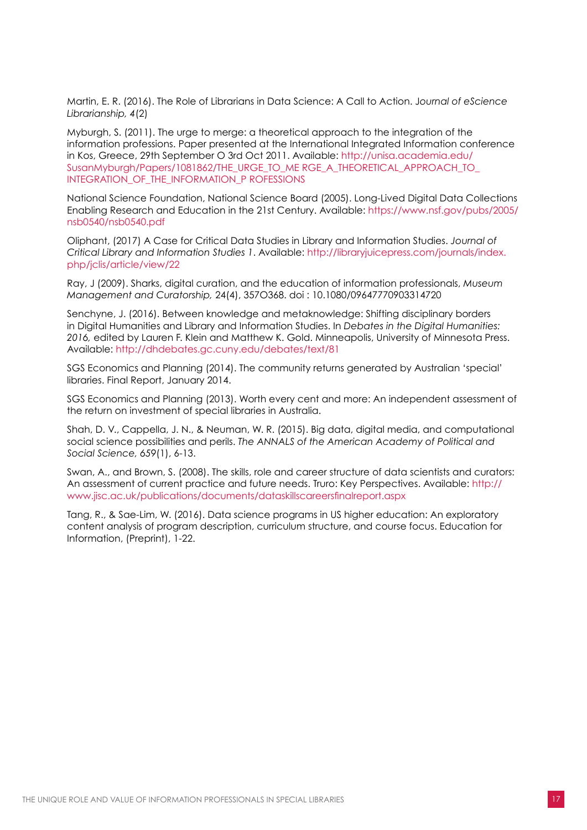Martin, E. R. (2016). The Role of Librarians in Data Science: A Call to Action. J*ournal of eScience Librarianship, 4*(2)

Myburgh, S. (2011). The urge to merge: a theoretical approach to the integration of the information professions. Paper presented at the International Integrated Information conference in Kos, Greece, 29th September O 3rd Oct 2011. Available: [http://unisa.academia.edu/](http://unisa.academia.edu/SusanMyburgh/Papers/1081862/THE_URGE_TO_ME RGE_A_THEORETICAL_APPROACH_TO_I) SusanMyburgh/Papers/1081862/THE\_URGE\_TO\_ME RGE\_A\_THEORETICAL\_APPROACH\_TO [INTEGRATION\\_OF\\_THE\\_INFORMATION\\_P ROFESSIONS](http://unisa.academia.edu/SusanMyburgh/Papers/1081862/THE_URGE_TO_ME RGE_A_THEORETICAL_APPROACH_TO_I)

National Science Foundation, National Science Board (2005). Long-Lived Digital Data Collections Enabling Research and Education in the 21st Century. Available: [https://www.nsf.gov/pubs/2005/](https://www.nsf.gov/pubs/2005/nsb0540/nsb0540.pdf ) [nsb0540/nsb0540.pdf](https://www.nsf.gov/pubs/2005/nsb0540/nsb0540.pdf ) 

Oliphant, (2017) A Case for Critical Data Studies in Library and Information Studies. *Journal of Critical Library and Information Studies 1*. Available: [http://libraryjuicepress.com/journals/index.](http://libraryjuicepress.com/journals/index.php/jclis/article/view/22 ) [php/jclis/article/view/22](http://libraryjuicepress.com/journals/index.php/jclis/article/view/22 )

Ray, J (2009). Sharks, digital curation, and the education of information professionals, *Museum Management and Curatorship,* 24(4), 357O368. doi : 10.1080/09647770903314720

Senchyne, J. (2016). Between knowledge and metaknowledge: Shifting disciplinary borders in Digital Humanities and Library and Information Studies. In *Debates in the Digital Humanities: 2016,* edited by Lauren F. Klein and Matthew K. Gold. Minneapolis, University of Minnesota Press. Available:<http://dhdebates.gc.cuny.edu/debates/text/81>

SGS Economics and Planning (2014). The community returns generated by Australian 'special' libraries. Final Report, January 2014.

SGS Economics and Planning (2013). Worth every cent and more: An independent assessment of the return on investment of special libraries in Australia.

Shah, D. V., Cappella, J. N., & Neuman, W. R. (2015). Big data, digital media, and computational social science possibilities and perils. *The ANNALS of the American Academy of Political and Social Science, 659*(1), 6-13.

Swan, A., and Brown, S. (2008). The skills, role and career structure of data scientists and curators: An assessment of current practice and future needs. Truro: Key Perspectives. Available: [http://](http://www.jisc.ac.uk/publications/documents/dataskillscareersfinalreport.aspx  ) [www.jisc.ac.uk/publications/documents/dataskillscareersfinalreport.aspx](http://www.jisc.ac.uk/publications/documents/dataskillscareersfinalreport.aspx  ) 

Tang, R., & Sae-Lim, W. (2016). Data science programs in US higher education: An exploratory content analysis of program description, curriculum structure, and course focus. Education for Information, (Preprint), 1-22.